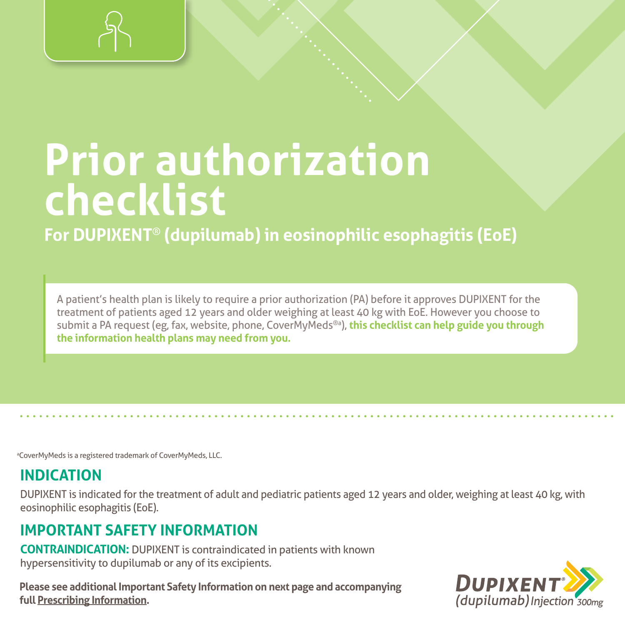

# **Prior authorization checklist**

**For DUPIXENT**® **(dupilumab) in eosinophilic esophagitis (EoE)**

A patient's health plan is likely to require a prior authorization (PA) before it approves DUPIXENT for the treatment of patients aged 12 years and older weighing at least 40 kg with EoE. However you choose to submit a PA request (eg, fax, website, phone, CoverMyMeds®a), **this checklist can help guide you through the information health plans may need from you.**

a CoverMyMeds is a registered trademark of CoverMyMeds, LLC.

## **INDICATION**

DUPIXENT is indicated for the treatment of adult and pediatric patients aged 12 years and older, weighing at least 40 kg, with eosinophilic esophagitis (EoE).

## **IMPORTANT SAFETY INFORMATION**

**CONTRAINDICATION:** DUPIXENT is contraindicated in patients with known hypersensitivity to dupilumab or any of its excipients.

**Please see additional Important Safety Information on next page and accompanying f[ull Prescribing Information.](https://www.regeneron.com/downloads/dupixent_fpi.pdf)** 

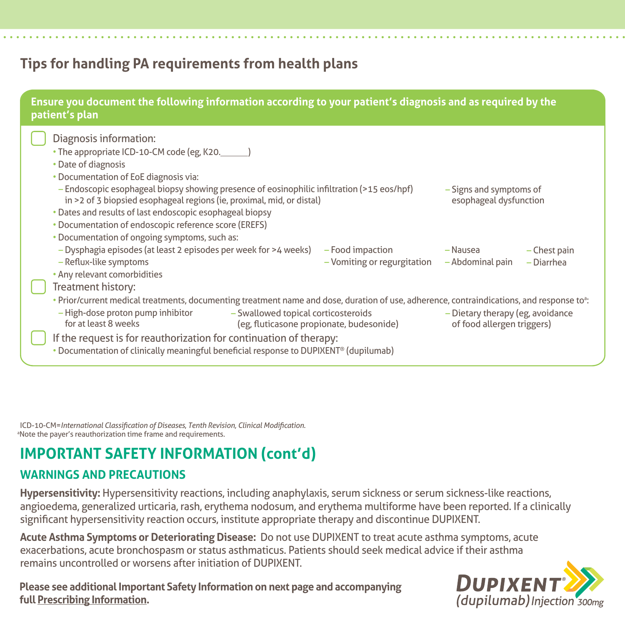## **Tips for handling PA requirements from health plans**



 ICD-10-CM=*International Classification of Diseases*, *Tenth Revision, Clinical Modification*. a Note the payer's reauthorization time frame and requirements.

# **IMPORTANT SAFETY INFORMATION (cont'd)**

## **WARNINGS AND PRECAUTIONS**

**Hypersensitivity:** Hypersensitivity reactions, including anaphylaxis, serum sickness or serum sickness-like reactions, angioedema, generalized urticaria, rash, erythema nodosum, and erythema multiforme have been reported. If a clinically significant hypersensitivity reaction occurs, institute appropriate therapy and discontinue DUPIXENT.

**Acute Asthma Symptoms or Deteriorating Disease:** Do not use DUPIXENT to treat acute asthma symptoms, acute exacerbations, acute bronchospasm or status asthmaticus. Patients should seek medical advice if their asthma remains uncontrolled or worsens after initiation of DUPIXENT.

**Please see additional Important Safety Information on next page and accompanying f[ull Prescribing Information.](https://www.regeneron.com/downloads/dupixent_fpi.pdf)** 

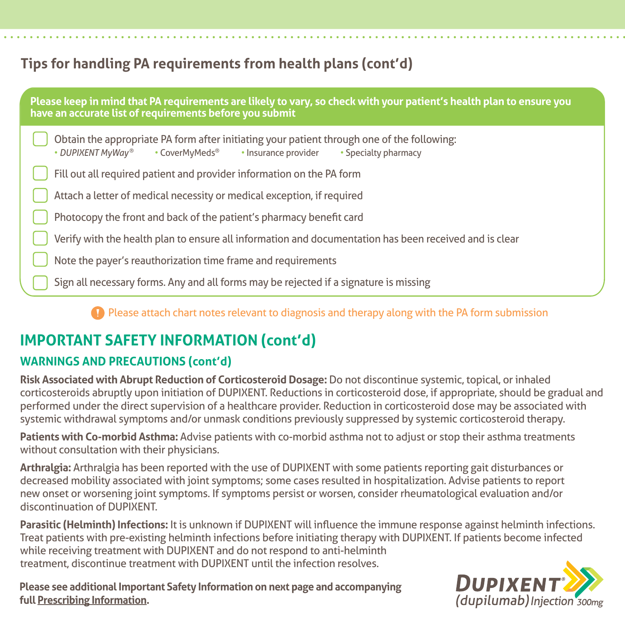# **Tips for handling PA requirements from health plans (cont'd)**

| Please keep in mind that PA requirements are likely to vary, so check with your patient's health plan to ensure you<br>have an accurate list of requirements before you submit    |
|-----------------------------------------------------------------------------------------------------------------------------------------------------------------------------------|
| Obtain the appropriate PA form after initiating your patient through one of the following:<br>• DUPIXENT MyWay®<br>• CoverMyMeds®<br>• Insurance provider<br>• Specialty pharmacy |
| Fill out all required patient and provider information on the PA form                                                                                                             |
| Attach a letter of medical necessity or medical exception, if required                                                                                                            |
| Photocopy the front and back of the patient's pharmacy benefit card                                                                                                               |
| Verify with the health plan to ensure all information and documentation has been received and is clear                                                                            |
| Note the payer's reauthorization time frame and requirements                                                                                                                      |
| Sign all necessary forms. Any and all forms may be rejected if a signature is missing                                                                                             |

**Please attach chart notes relevant to diagnosis and therapy along with the PA form submission** 

# **IMPORTANT SAFETY INFORMATION (cont'd)**

## **WARNINGS AND PRECAUTIONS (cont'd)**

**Risk Associated with Abrupt Reduction of Corticosteroid Dosage:** Do not discontinue systemic, topical, or inhaled corticosteroids abruptly upon initiation of DUPIXENT. Reductions in corticosteroid dose, if appropriate, should be gradual and performed under the direct supervision of a healthcare provider. Reduction in corticosteroid dose may be associated with systemic withdrawal symptoms and/or unmask conditions previously suppressed by systemic corticosteroid therapy.

**Patients with Co-morbid Asthma:** Advise patients with co-morbid asthma not to adjust or stop their asthma treatments without consultation with their physicians.

**Arthralgia:** Arthralgia has been reported with the use of DUPIXENT with some patients reporting gait disturbances or decreased mobility associated with joint symptoms; some cases resulted in hospitalization. Advise patients to report new onset or worsening joint symptoms. If symptoms persist or worsen, consider rheumatological evaluation and/or discontinuation of DUPIXENT.

**Parasitic (Helminth) Infections:** It is unknown if DUPIXENT will influence the immune response against helminth infections. Treat patients with pre-existing helminth infections before initiating therapy with DUPIXENT. If patients become infected while receiving treatment with DUPIXENT and do not respond to anti-helminth treatment, discontinue treatment with DUPIXENT until the infection resolves.

**Please see additional Important Safety Information on next page and accompanying f[ull Prescribing Information.](https://www.regeneron.com/downloads/dupixent_fpi.pdf)**